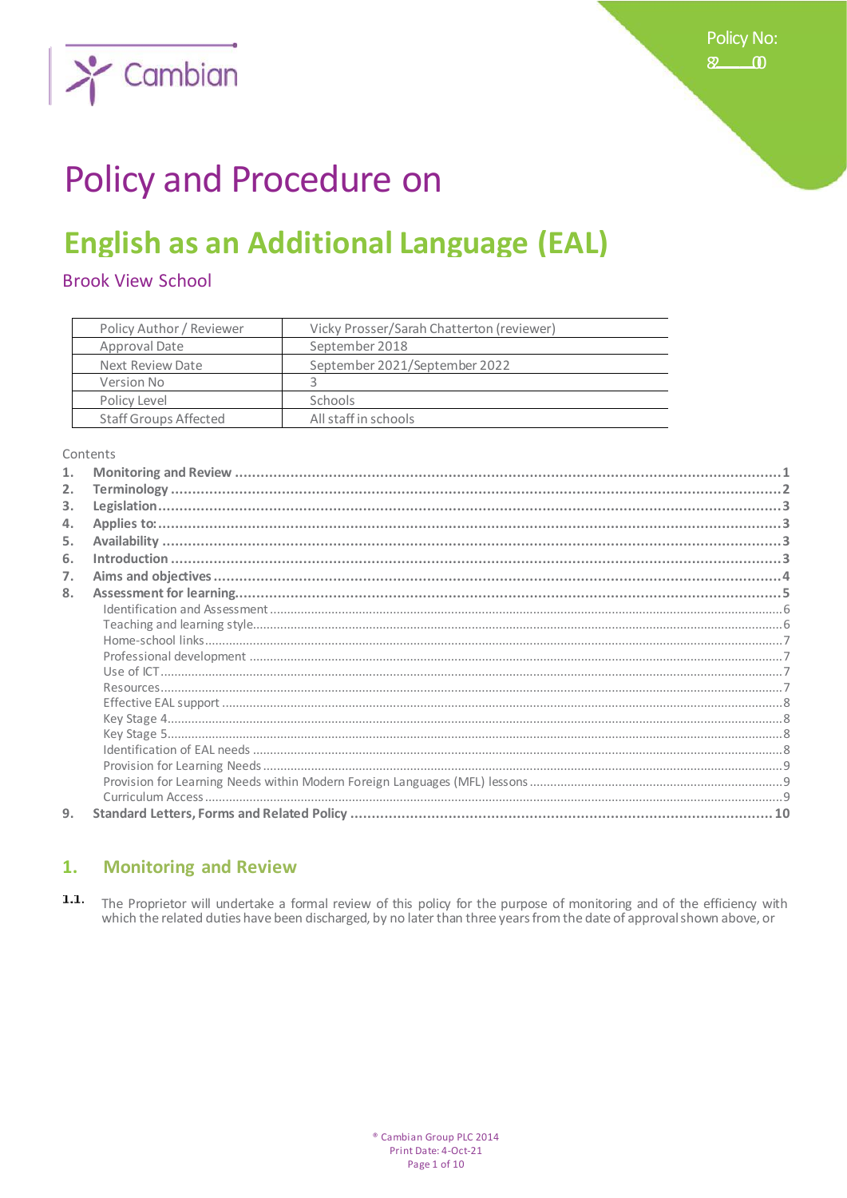

# **Policy and Procedure on**

## **English as an Additional Language (EAL)**

**Brook View School** 

| Policy Author / Reviewer     | Vicky Prosser/Sarah Chatterton (reviewer) |
|------------------------------|-------------------------------------------|
| Approval Date                | September 2018                            |
| Next Review Date             | September 2021/September 2022             |
| Version No                   |                                           |
| Policy Level                 | <b>Schools</b>                            |
| <b>Staff Groups Affected</b> | All staff in schools                      |

Contents

| 1. |  |
|----|--|
| 2. |  |
| 3. |  |
| 4. |  |
| 5. |  |
| 6. |  |
| 7. |  |
| 8. |  |
|    |  |
|    |  |
|    |  |
|    |  |
|    |  |
|    |  |
|    |  |
|    |  |
|    |  |
|    |  |
|    |  |
|    |  |
|    |  |
| 9. |  |

#### **Monitoring and Review**  $1.$

1.1. The Proprietor will undertake a formal review of this policy for the purpose of monitoring and of the efficiency with which the related duties have been discharged, by no later than three years from the date of approval shown above, or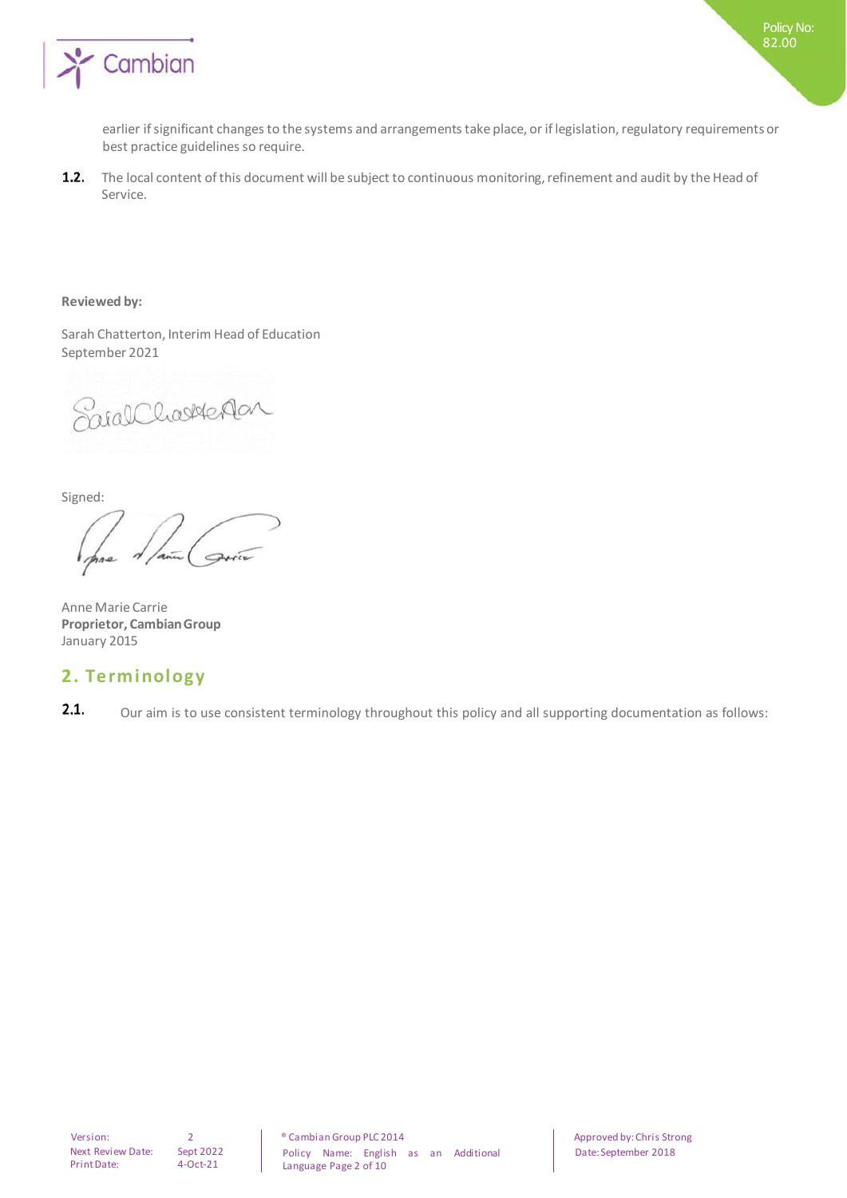

earlier if significant changes to the systems and arrangements take place, or if legislation, regulatory requirements or best practice guidelines so require.

 $1.2.$ The local content of this document will be subject to continuous monitoring, refinement and audit by the Head of Service.

### **Reviewed by:**

Sarah Chatterton, Interim Head of Education September 2021

Saral Charledan

Signed:

Anne Marie Carrie **Proprietor, Cambian Group** January 2015

### **2. Terminology**

 $2.1.$ Our aim is to use consistent terminology throughout this policy and all supporting documentation as follows: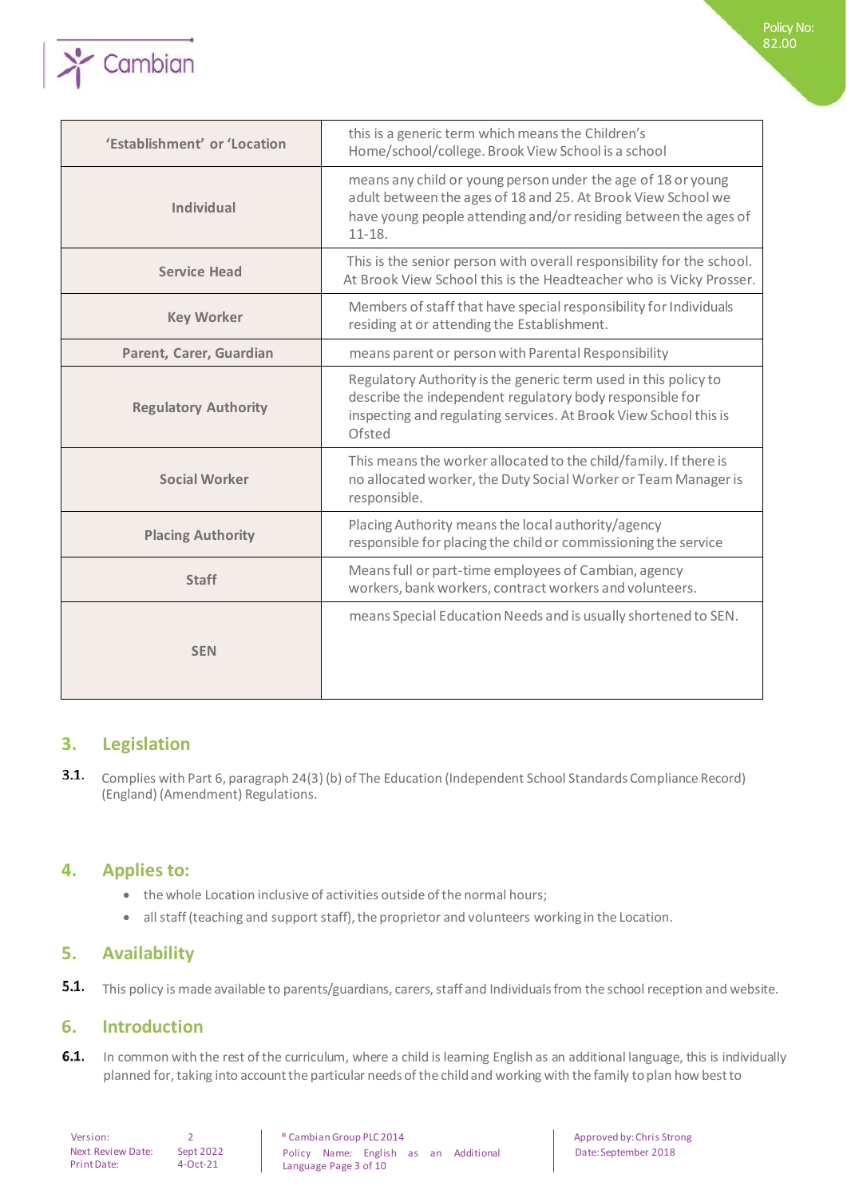

| 'Establishment' or 'Location | this is a generic term which means the Children's<br>Home/school/college. Brook View School is a school                                                                                                       |
|------------------------------|---------------------------------------------------------------------------------------------------------------------------------------------------------------------------------------------------------------|
| <b>Individual</b>            | means any child or young person under the age of 18 or young<br>adult between the ages of 18 and 25. At Brook View School we<br>have young people attending and/or residing between the ages of<br>$11 - 18.$ |
| <b>Service Head</b>          | This is the senior person with overall responsibility for the school.<br>At Brook View School this is the Headteacher who is Vicky Prosser.                                                                   |
| <b>Key Worker</b>            | Members of staff that have special responsibility for Individuals<br>residing at or attending the Establishment.                                                                                              |
| Parent, Carer, Guardian      | means parent or person with Parental Responsibility                                                                                                                                                           |
| <b>Regulatory Authority</b>  | Regulatory Authority is the generic term used in this policy to<br>describe the independent regulatory body responsible for<br>inspecting and regulating services. At Brook View School this is<br>Ofsted     |
| <b>Social Worker</b>         | This means the worker allocated to the child/family. If there is<br>no allocated worker, the Duty Social Worker or Team Manager is<br>responsible.                                                            |
| <b>Placing Authority</b>     | Placing Authority means the local authority/agency<br>responsible for placing the child or commissioning the service                                                                                          |
| <b>Staff</b>                 | Means full or part-time employees of Cambian, agency<br>workers, bank workers, contract workers and volunteers.                                                                                               |
| <b>SEN</b>                   | means Special Education Needs and is usually shortened to SEN.                                                                                                                                                |

## **3. Legislation**

 $3.1.$ Complies with Part 6, paragraph 24(3) (b) of The Education (Independent School Standards Compliance Record) (England) (Amendment) Regulations.

## **4. Applies to:**

- the whole Location inclusive of activities outside of the normal hours;
- all staff (teaching and support staff), the proprietor and volunteers working in the Location.

## **5. Availability**

 $5.1.$ This policy is made available to parents/guardians, carers, staff and Individuals from the school reception and website.

## **6. Introduction**

 $6.1.$ In common with the rest of the curriculum, where a child is learning English as an additional language, this is individually planned for, taking into account the particular needs of the child and working with the family to plan how best to

Next Review Date: Sept 2022 Print Date: 4-Oct-21

Version: 2 2 annoism Group PLC 2014 and Approved by: Chris Strong Policy Name: English as an Additional Language Page 3 of 10

Date: September 2018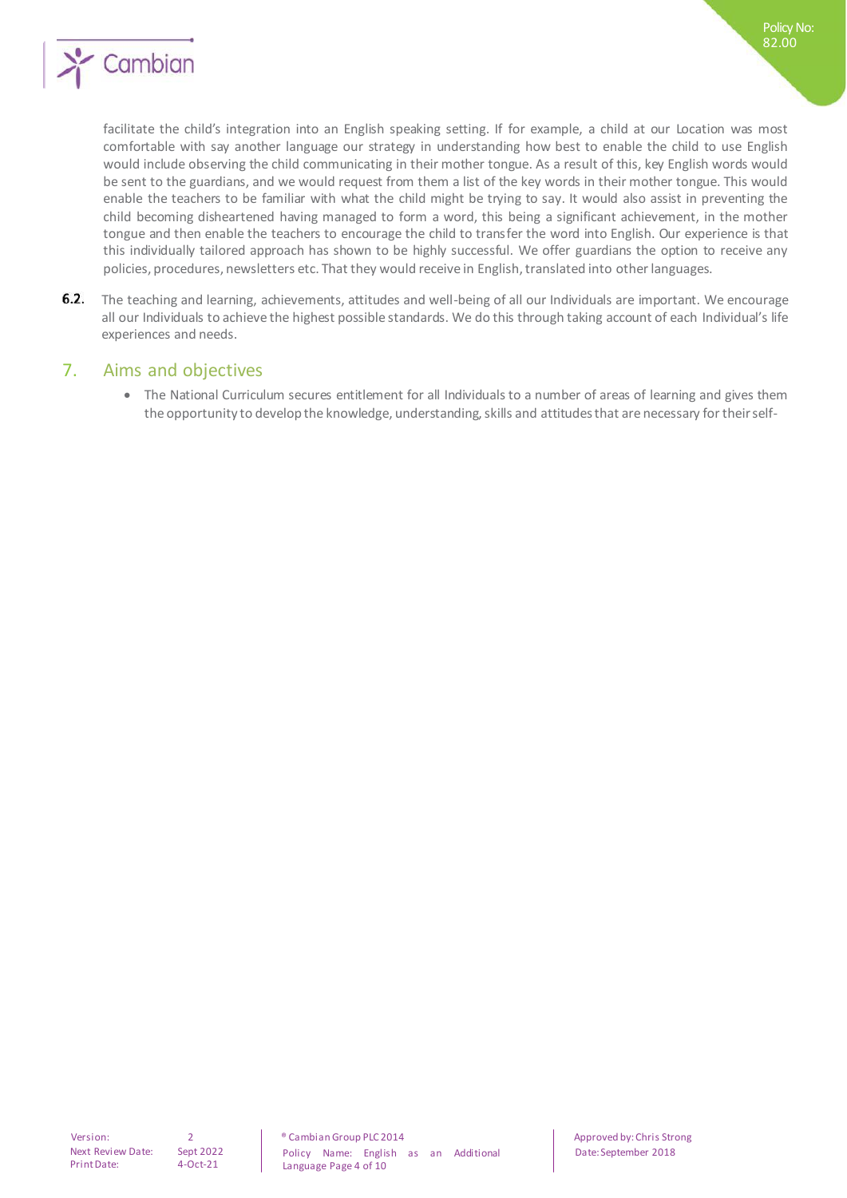

facilitate the child's integration into an English speaking setting. If for example, a child at our Location was most comfortable with say another language our strategy in understanding how best to enable the child to use English would include observing the child communicating in their mother tongue. As a result of this, key English words would be sent to the guardians, and we would request from them a list of the key words in their mother tongue. This would enable the teachers to be familiar with what the child might be trying to say. It would also assist in preventing the child becoming disheartened having managed to form a word, this being a significant achievement, in the mother tongue and then enable the teachers to encourage the child to transfer the word into English. Our experience is that this individually tailored approach has shown to be highly successful. We offer guardians the option to receive any policies, procedures, newsletters etc. That they would receive in English, translated into other languages.

 $6.2.$ The teaching and learning, achievements, attitudes and well-being of all our Individuals are important. We encourage all our Individuals to achieve the highest possible standards. We do this through taking account of each Individual's life experiences and needs.

## 7. Aims and objectives

• The National Curriculum secures entitlement for all Individuals to a number of areas of learning and gives them the opportunity to develop the knowledge, understanding, skills and attitudes that are necessary for their self-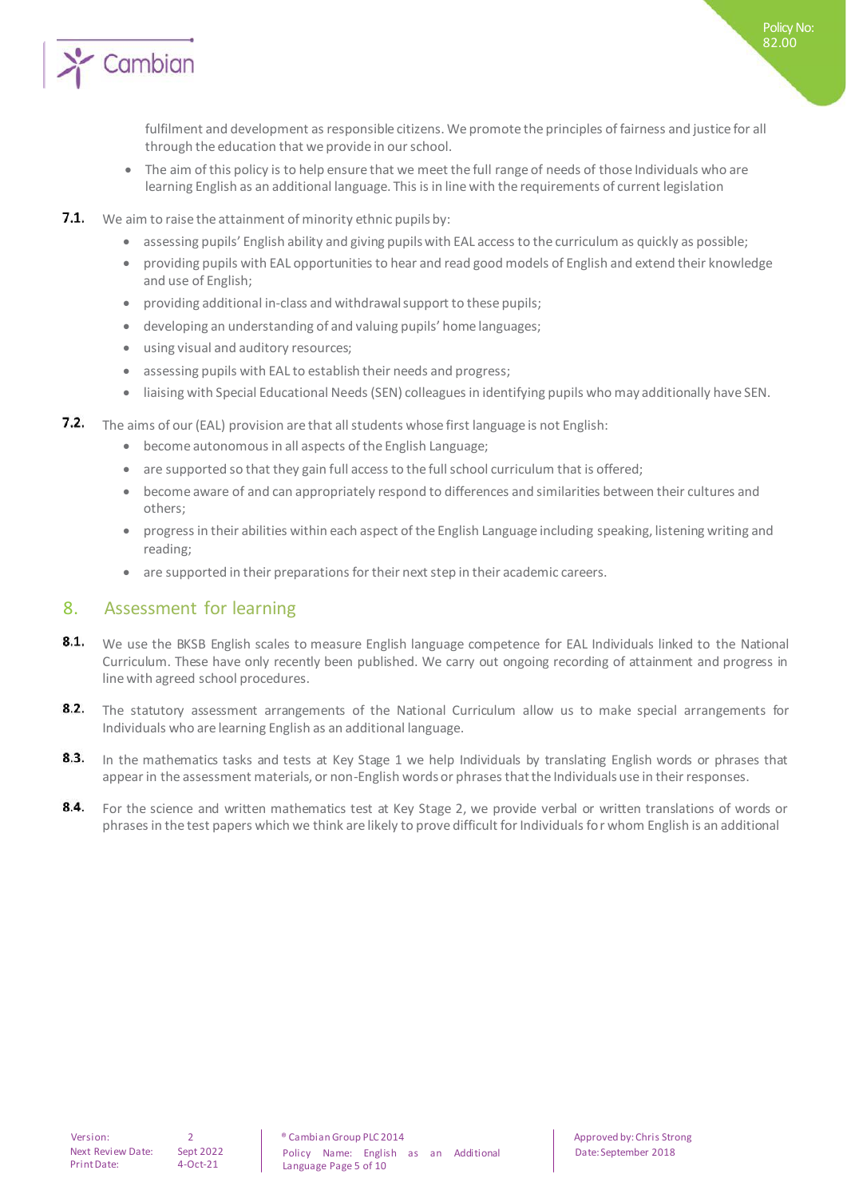

fulfilment and development as responsible citizens. We promote the principles of fairness and justice for all through the education that we provide in our school.

Policy No: 82.00

- The aim of this policy is to help ensure that we meet the full range of needs of those Individuals who are learning English as an additional language. This is in line with the requirements of current legislation
- $7.1.$ We aim to raise the attainment of minority ethnic pupils by:
	- assessing pupils' English ability and giving pupils with EAL access to the curriculum as quickly as possible;
	- providing pupils with EAL opportunities to hear and read good models of English and extend their knowledge and use of English;
	- providing additional in-class and withdrawal support to these pupils;
	- developing an understanding of and valuing pupils' home languages;
	- using visual and auditory resources;
	- assessing pupils with EAL to establish their needs and progress;
	- liaising with Special Educational Needs (SEN) colleagues in identifying pupils who may additionally have SEN.
- 7.2. The aims of our (EAL) provision are that all students whose first language is not English:
	- become autonomous in all aspects of the English Language;
	- are supported so that they gain full access to the full school curriculum that is offered;
	- become aware of and can appropriately respond to differences and similarities between their cultures and others;
	- progress in their abilities within each aspect of the English Language including speaking, listening writing and reading;
	- are supported in their preparations for their next step in their academic careers.

## 8. Assessment for learning

- 8.1. We use the BKSB English scales to measure English language competence for EAL Individuals linked to the National Curriculum. These have only recently been published. We carry out ongoing recording of attainment and progress in line with agreed school procedures.
- $8.2.$ The statutory assessment arrangements of the National Curriculum allow us to make special arrangements for Individuals who are learning English as an additional language.
- $8.3.$ In the mathematics tasks and tests at Key Stage 1 we help Individuals by translating English words or phrases that appear in the assessment materials, or non-English words or phrases that the Individuals use in their responses.
- $8.4.$ For the science and written mathematics test at Key Stage 2, we provide verbal or written translations of words or phrases in the test papers which we think are likely to prove difficult for Individuals for whom English is an additional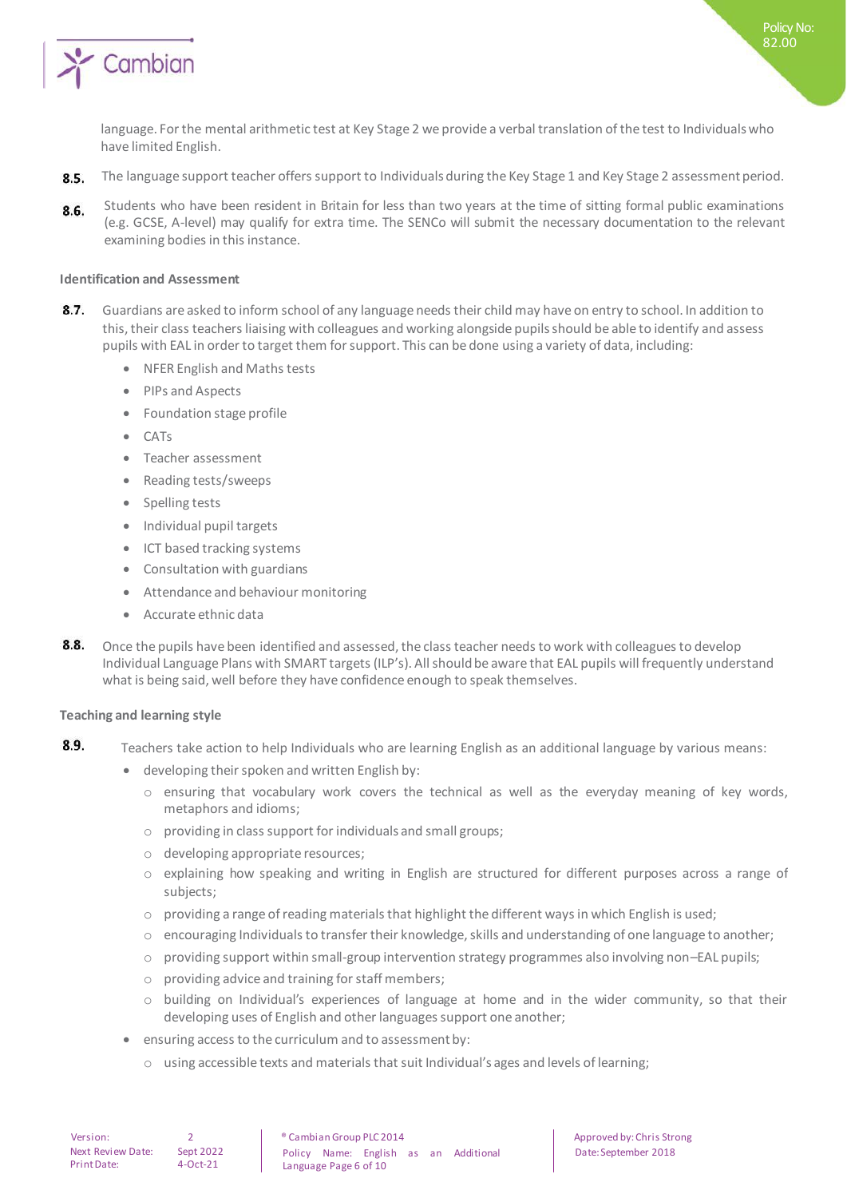

language. For the mental arithmetic test at Key Stage 2 we provide a verbal translation of the test to Individuals who have limited English.

- 8.5. The language support teacher offers support to Individuals during the Key Stage 1 and Key Stage 2 assessment period.
- Students who have been resident in Britain for less than two years at the time of sitting formal public examinations 8.6. (e.g. GCSE, A-level) may qualify for extra time. The SENCo will submit the necessary documentation to the relevant examining bodies in this instance.

#### **Identification and Assessment**

- $R<sub>7</sub>$ Guardians are asked to inform school of any language needs their child may have on entry to school. In addition to this, their class teachers liaising with colleagues and working alongside pupils should be able to identify and assess pupils with EAL in order to target them for support. This can be done using a variety of data, including:
	- NFER English and Maths tests
	- PIPs and Aspects
	- Foundation stage profile
	- $C \Delta T_S$
	- Teacher assessment
	- Reading tests/sweeps
	- Spelling tests
	- Individual pupil targets
	- ICT based tracking systems
	- Consultation with guardians
	- Attendance and behaviour monitoring
	- Accurate ethnic data
- 8.8. Once the pupils have been identified and assessed, the class teacher needs to work with colleagues to develop Individual Language Plans with SMART targets (ILP's). All should be aware that EAL pupils will frequently understand what is being said, well before they have confidence enough to speak themselves.

#### **Teaching and learning style**

- 8.9. Teachers take action to help Individuals who are learning English as an additional language by various means:
	- developing their spoken and written English by:
		- o ensuring that vocabulary work covers the technical as well as the everyday meaning of key words, metaphors and idioms;
		- o providing in class support for individuals and small groups;
		- o developing appropriate resources;
		- o explaining how speaking and writing in English are structured for different purposes across a range of subjects;
		- $\circ$  providing a range of reading materials that highlight the different ways in which English is used;
		- $\circ$  encouraging Individuals to transfer their knowledge, skills and understanding of one language to another;
		- o providing support within small-group intervention strategy programmes also involving non–EAL pupils;
		- o providing advice and training for staff members;
		- o building on Individual's experiences of language at home and in the wider community, so that their developing uses of English and other languages support one another;
	- ensuring access to the curriculum and to assessment by:
		- $\circ$  using accessible texts and materials that suit Individual's ages and levels of learning;

#### Version: 2 ® Cambian Group PLC 2014 Approved by: Chris Strong Policy Name: English as an Additional Language Page 6 of 10

Date: September 2018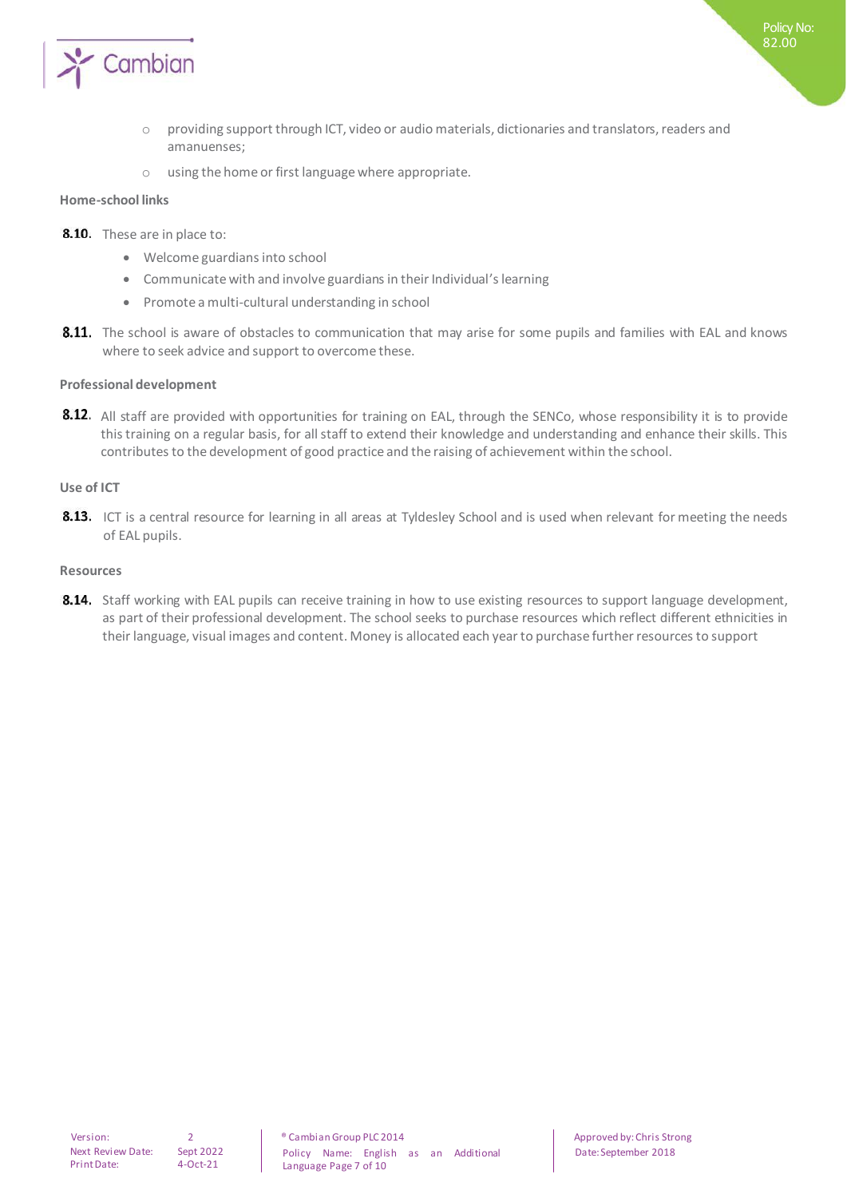

- o providing support through ICT, video or audio materials, dictionaries and translators, readers and amanuenses;
- o using the home or first language where appropriate.

#### **Home-school links**

- 8.10. These are in place to:
	- Welcome guardians into school
	- Communicate with and involve guardians in their Individual's learning
	- Promote a multi-cultural understanding in school
- 8.11. The school is aware of obstacles to communication that may arise for some pupils and families with EAL and knows where to seek advice and support to overcome these.

### **Professional development**

8.12. All staff are provided with opportunities for training on EAL, through the SENCo, whose responsibility it is to provide this training on a regular basis, for all staff to extend their knowledge and understanding and enhance their skills. This contributes to the development of good practice and the raising of achievement within the school.

#### **Use of ICT**

8.13. ICT is a central resource for learning in all areas at Tyldesley School and is used when relevant for meeting the needs of EAL pupils.

#### **Resources**

8.14. Staff working with EAL pupils can receive training in how to use existing resources to support language development, as part of their professional development. The school seeks to purchase resources which reflect different ethnicities in their language, visual images and content. Money is allocated each year to purchase further resources to support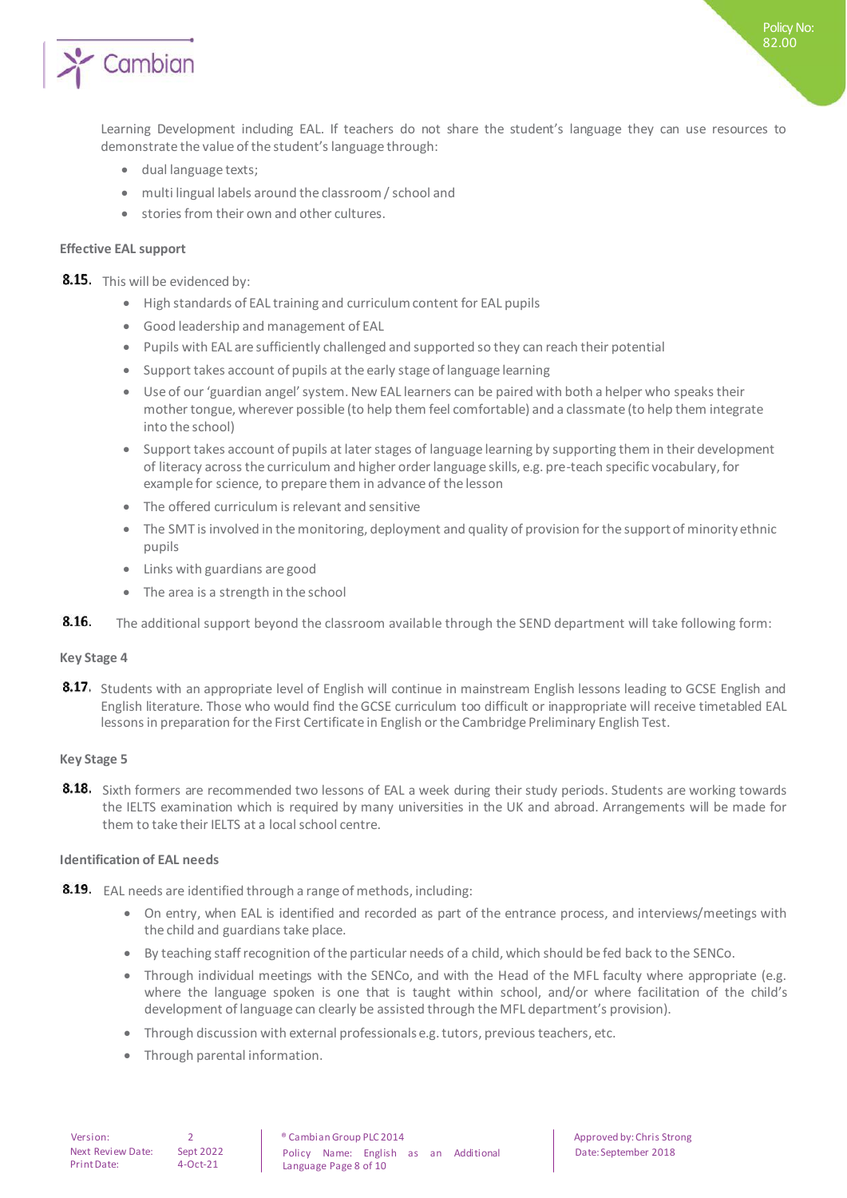

Policy No: 82.00

- dual language texts;
- multi lingual labels around the classroom / school and
- stories from their own and other cultures.

### **Effective EAL support**

8.15. This will be evidenced by:

- High standards of EAL training and curriculum content for EAL pupils
- Good leadership and management of EAL
- Pupils with EAL are sufficiently challenged and supported so they can reach their potential
- Support takes account of pupils at the early stage of language learning
- Use of our 'guardian angel' system. New EAL learners can be paired with both a helper who speaks their mother tongue, wherever possible (to help them feel comfortable) and a classmate (to help them integrate into the school)
- Support takes account of pupils at later stages of language learning by supporting them in their development of literacy across the curriculum and higher order language skills, e.g. pre-teach specific vocabulary, for example for science, to prepare them in advance of the lesson
- The offered curriculum is relevant and sensitive
- The SMT is involved in the monitoring, deployment and quality of provision for the support of minority ethnic pupils
- Links with guardians are good
- The area is a strength in the school
- 8.16. The additional support beyond the classroom available through the SEND department will take following form:

### **Key Stage 4**

8.17. Students with an appropriate level of English will continue in mainstream English lessons leading to GCSE English and English literature. Those who would find the GCSE curriculum too difficult or inappropriate will receive timetabled EAL lessons in preparation for the First Certificate in English or the Cambridge Preliminary English Test.

### **Key Stage 5**

8.18. Sixth formers are recommended two lessons of EAL a week during their study periods. Students are working towards the IELTS examination which is required by many universities in the UK and abroad. Arrangements will be made for them to take their IELTS at a local school centre.

### **Identification of EAL needs**

- **8.19.** EAL needs are identified through a range of methods, including:
	- On entry, when EAL is identified and recorded as part of the entrance process, and interviews/meetings with the child and guardians take place.
	- By teaching staff recognition of the particular needs of a child, which should be fed back to the SENCo.
	- Through individual meetings with the SENCo, and with the Head of the MFL faculty where appropriate (e.g. where the language spoken is one that is taught within school, and/or where facilitation of the child's development of language can clearly be assisted through the MFL department's provision).
	- Through discussion with external professionals e.g. tutors, previous teachers, etc.
	- Through parental information.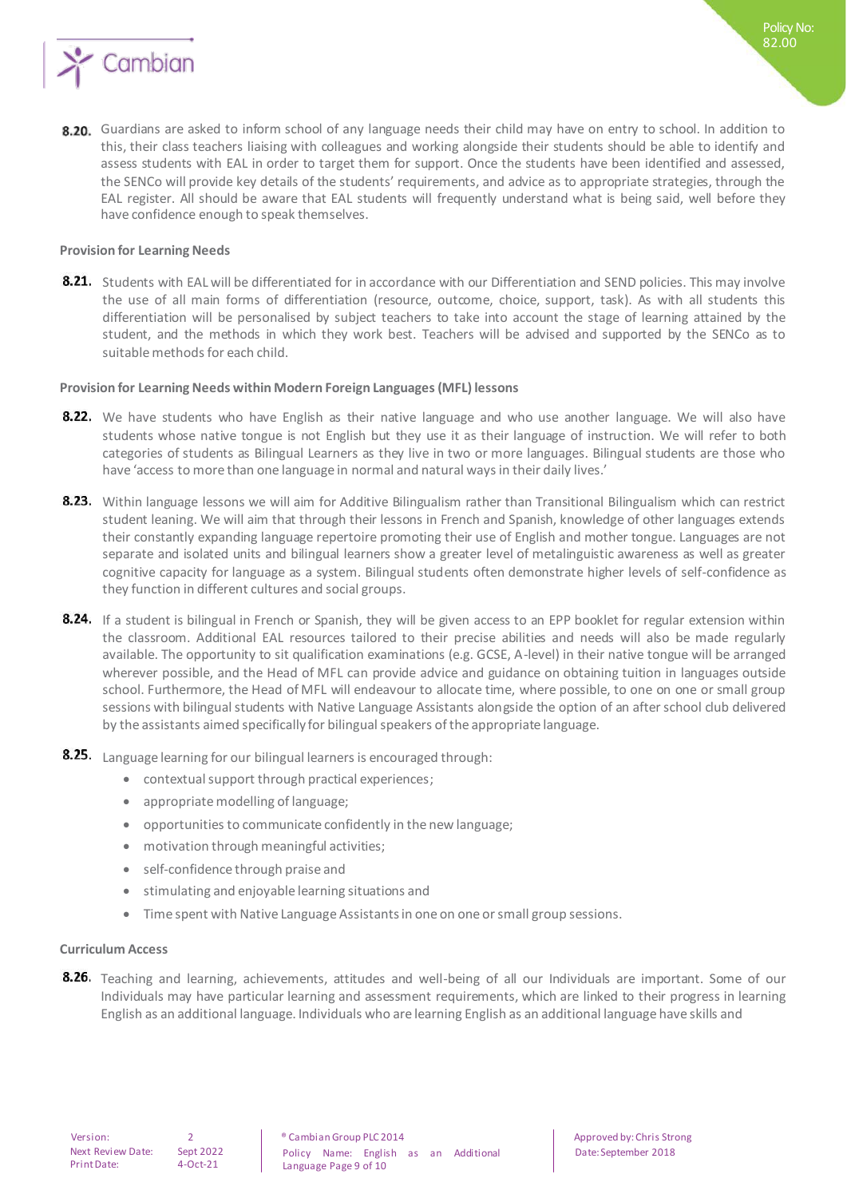

#### **Provision for Learning Needs**

8.21. Students with EAL will be differentiated for in accordance with our Differentiation and SEND policies. This may involve the use of all main forms of differentiation (resource, outcome, choice, support, task). As with all students this differentiation will be personalised by subject teachers to take into account the stage of learning attained by the student, and the methods in which they work best. Teachers will be advised and supported by the SENCo as to suitable methods for each child.

#### **Provision for Learning Needs within Modern Foreign Languages (MFL) lessons**

- 8.22. We have students who have English as their native language and who use another language. We will also have students whose native tongue is not English but they use it as their language of instruction. We will refer to both categories of students as Bilingual Learners as they live in two or more languages. Bilingual students are those who have 'access to more than one language in normal and natural ways in their daily lives.'
- 8.23. Within language lessons we will aim for Additive Bilingualism rather than Transitional Bilingualism which can restrict student leaning. We will aim that through their lessons in French and Spanish, knowledge of other languages extends their constantly expanding language repertoire promoting their use of English and mother tongue. Languages are not separate and isolated units and bilingual learners show a greater level of metalinguistic awareness as well as greater cognitive capacity for language as a system. Bilingual students often demonstrate higher levels of self-confidence as they function in different cultures and social groups.
- 8.24. If a student is bilingual in French or Spanish, they will be given access to an EPP booklet for regular extension within the classroom. Additional EAL resources tailored to their precise abilities and needs will also be made regularly available. The opportunity to sit qualification examinations (e.g. GCSE, A-level) in their native tongue will be arranged wherever possible, and the Head of MFL can provide advice and guidance on obtaining tuition in languages outside school. Furthermore, the Head of MFL will endeavour to allocate time, where possible, to one on one or small group sessions with bilingual students with Native Language Assistants alongside the option of an after school club delivered by the assistants aimed specifically for bilingual speakers of the appropriate language.
- 8.25. Language learning for our bilingual learners is encouraged through:
	- contextual support through practical experiences;
	- appropriate modelling of language;
	- opportunities to communicate confidently in the new language;
	- motivation through meaningful activities;
	- self-confidence through praise and
	- **•** stimulating and enjoyable learning situations and
	- Time spent with Native Language Assistants in one on one or small group sessions.

#### **Curriculum Access**

8.26. Teaching and learning, achievements, attitudes and well-being of all our Individuals are important. Some of our Individuals may have particular learning and assessment requirements, which are linked to their progress in learning English as an additional language. Individuals who are learning English as an additional language have skills and

Date: September 2018

Policy No: 82.00